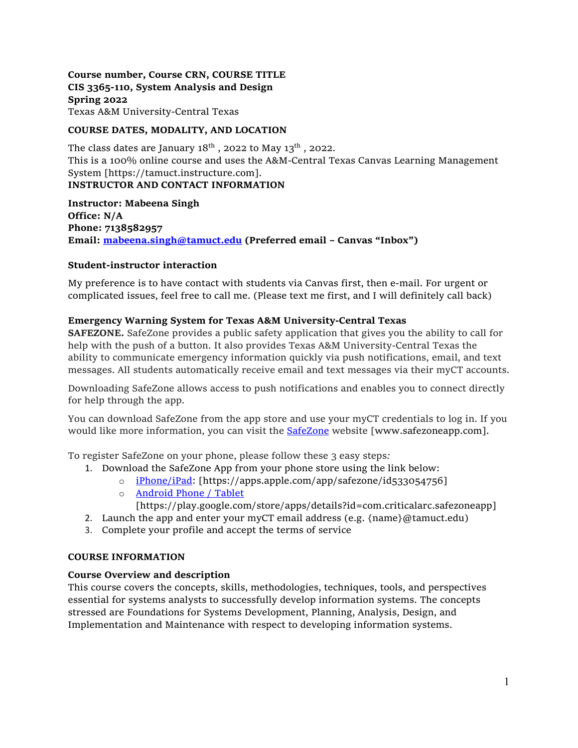**Course number, Course CRN, COURSE TITLE CIS 3365-110, System Analysis and Design Spring 2022** Texas A&M University-Central Texas

# **COURSE DATES, MODALITY, AND LOCATION**

The class dates are January  $18<sup>th</sup>$ , 2022 to May  $13<sup>th</sup>$ , 2022. This is a 100% online course and uses the A&M-Central Texas Canvas Learning Management System [https://tamuct.instructure.com]. **INSTRUCTOR AND CONTACT INFORMATION**

**Instructor: Mabeena Singh Office: N/A Phone: 7138582957 Email: [mabeena.singh@tamuct.edu](mailto:mabeena.singh@tamuct.edu) (Preferred email – Canvas "Inbox")**

# **Student-instructor interaction**

My preference is to have contact with students via Canvas first, then e-mail. For urgent or complicated issues, feel free to call me. (Please text me first, and I will definitely call back)

# **Emergency Warning System for Texas A&M University-Central Texas**

**SAFEZONE.** SafeZone provides a public safety application that gives you the ability to call for help with the push of a button. It also provides Texas A&M University-Central Texas the ability to communicate emergency information quickly via push notifications, email, and text messages. All students automatically receive email and text messages via their myCT accounts.

Downloading SafeZone allows access to push notifications and enables you to connect directly for help through the app.

You can download SafeZone from the app store and use your myCT credentials to log in. If you would like more information, you can visit the **[SafeZone](http://www.safezoneapp.com/)** website [www.safezoneapp.com].

To register SafeZone on your phone, please follow these 3 easy steps*:*

- 1. Download the SafeZone App from your phone store using the link below:
	- o [iPhone/iPad:](https://apps.apple.com/app/safezone/id533054756) [https://apps.apple.com/app/safezone/id533054756]
		- o [Android Phone / Tablet](https://play.google.com/store/apps/details?id=com.criticalarc.safezoneapp) [https://play.google.com/store/apps/details?id=com.criticalarc.safezoneapp]
- 2. Launch the app and enter your myCT email address (e.g.  $\{\text{name}\}\$ @tamuct.edu)
- 3. Complete your profile and accept the terms of service

#### **COURSE INFORMATION**

# **Course Overview and description**

This course covers the concepts, skills, methodologies, techniques, tools, and perspectives essential for systems analysts to successfully develop information systems. The concepts stressed are Foundations for Systems Development, Planning, Analysis, Design, and Implementation and Maintenance with respect to developing information systems.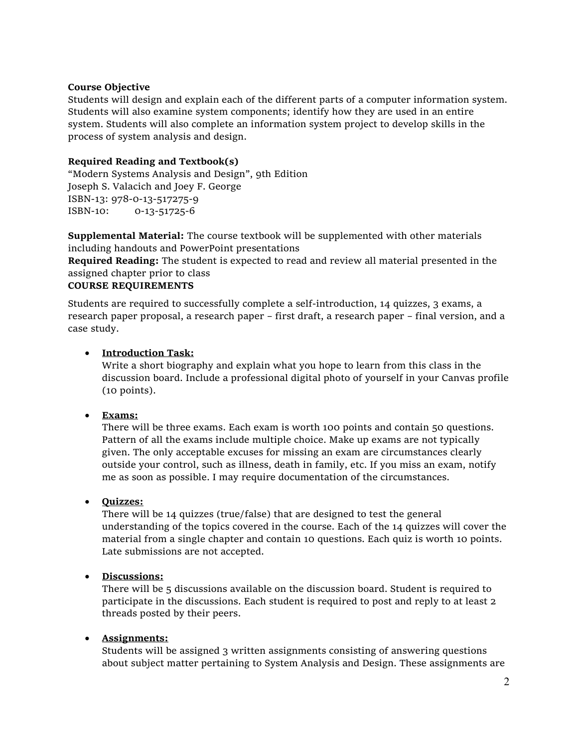# **Course Objective**

Students will design and explain each of the different parts of a computer information system. Students will also examine system components; identify how they are used in an entire system. Students will also complete an information system project to develop skills in the process of system analysis and design.

# **Required Reading and Textbook(s)**

"Modern Systems Analysis and Design", 9th Edition Joseph S. Valacich and Joey F. George ISBN-13: 978-0-13-517275-9 ISBN-10: 0-13-51725-6

**Supplemental Material:** The course textbook will be supplemented with other materials including handouts and PowerPoint presentations

**Required Reading:** The student is expected to read and review all material presented in the assigned chapter prior to class

# **COURSE REQUIREMENTS**

Students are required to successfully complete a self-introduction, 14 quizzes, 3 exams, a research paper proposal, a research paper – first draft, a research paper – final version, and a case study.

# • **Introduction Task:**

Write a short biography and explain what you hope to learn from this class in the discussion board. Include a professional digital photo of yourself in your Canvas profile (10 points).

# • **Exams:**

There will be three exams. Each exam is worth 100 points and contain 50 questions. Pattern of all the exams include multiple choice. Make up exams are not typically given. The only acceptable excuses for missing an exam are circumstances clearly outside your control, such as illness, death in family, etc. If you miss an exam, notify me as soon as possible. I may require documentation of the circumstances.

# • **Quizzes:**

There will be 14 quizzes (true/false) that are designed to test the general understanding of the topics covered in the course. Each of the 14 quizzes will cover the material from a single chapter and contain 10 questions. Each quiz is worth 10 points. Late submissions are not accepted.

# • **Discussions:**

There will be 5 discussions available on the discussion board. Student is required to participate in the discussions. Each student is required to post and reply to at least 2 threads posted by their peers.

# • **Assignments:**

Students will be assigned 3 written assignments consisting of answering questions about subject matter pertaining to System Analysis and Design. These assignments are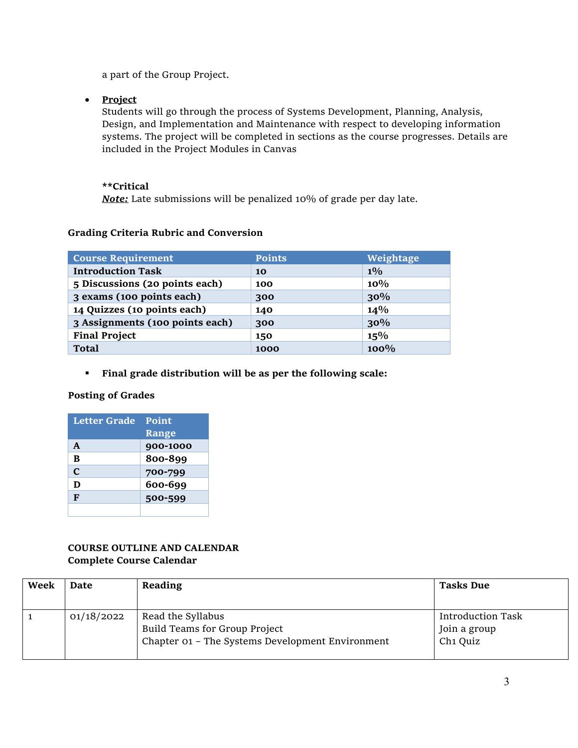a part of the Group Project.

• **Project**

Students will go through the process of Systems Development, Planning, Analysis, Design, and Implementation and Maintenance with respect to developing information systems. The project will be completed in sections as the course progresses. Details are included in the Project Modules in Canvas

# **\*\*Critical**

*Note:* Late submissions will be penalized 10% of grade per day late.

|  | <b>Grading Criteria Rubric and Conversion</b> |
|--|-----------------------------------------------|
|  |                                               |

| <b>Course Requirement</b>       | <b>Points</b> | Weightage |
|---------------------------------|---------------|-----------|
| <b>Introduction Task</b>        | 10            | $1\%$     |
| 5 Discussions (20 points each)  | 100           | 10%       |
| 3 exams (100 points each)       | 300           | 30%       |
| 14 Quizzes (10 points each)     | 140           | $14\%$    |
| 3 Assignments (100 points each) | 300           | 30%       |
| <b>Final Project</b>            | 150           | 15%       |
| <b>Total</b>                    | 1000          | $100\%$   |

**Final grade distribution will be as per the following scale:** 

# **Posting of Grades**

| Letter Grade Point |          |  |
|--------------------|----------|--|
|                    | Range    |  |
| A                  | 900-1000 |  |
| B                  | 800-899  |  |
| C                  | 700-799  |  |
| D                  | 600-699  |  |
| F                  | 500-599  |  |
|                    |          |  |

# **COURSE OUTLINE AND CALENDAR Complete Course Calendar**

| Week | Date       | Reading                                                                                                | <b>Tasks Due</b>                                                 |
|------|------------|--------------------------------------------------------------------------------------------------------|------------------------------------------------------------------|
|      | 01/18/2022 | Read the Syllabus<br>Build Teams for Group Project<br>Chapter 01 - The Systems Development Environment | <b>Introduction Task</b><br>Join a group<br>Ch <sub>1</sub> Quiz |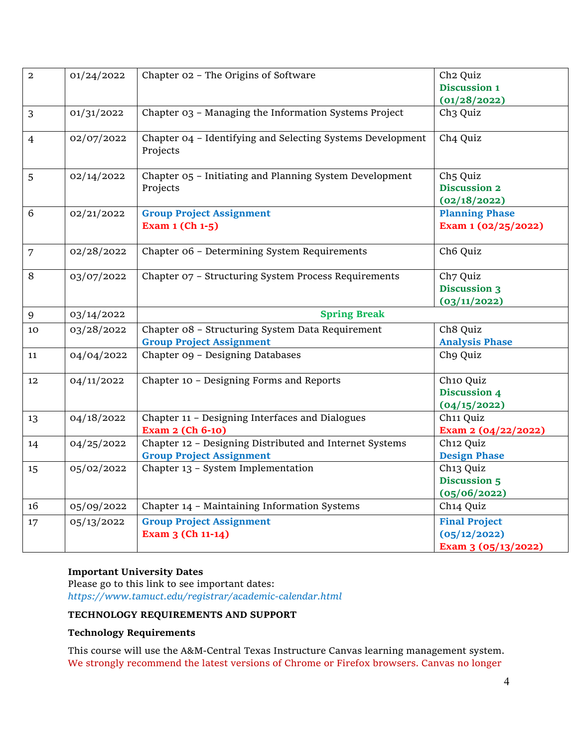| $\overline{a}$ | 01/24/2022 | Chapter 02 - The Origins of Software                                                       | Ch <sub>2</sub> Quiz                                         |  |
|----------------|------------|--------------------------------------------------------------------------------------------|--------------------------------------------------------------|--|
|                |            |                                                                                            | Discussion 1                                                 |  |
|                |            |                                                                                            | (01/28/2022)                                                 |  |
| 3              | 01/31/2022 | Chapter 03 - Managing the Information Systems Project                                      | Ch <sub>3</sub> Quiz                                         |  |
| $\overline{4}$ | 02/07/2022 | Chapter 04 - Identifying and Selecting Systems Development<br>Projects                     | Ch4 Quiz                                                     |  |
| 5              | 02/14/2022 | Chapter 05 - Initiating and Planning System Development<br>Projects                        | Ch <sub>5</sub> Quiz<br><b>Discussion 2</b><br>(02/18/2022)  |  |
| 6              | 02/21/2022 | <b>Group Project Assignment</b><br>Exam 1 (Ch 1-5)                                         | <b>Planning Phase</b><br>Exam 1 (02/25/2022)                 |  |
| $\overline{7}$ | 02/28/2022 | Chapter 06 - Determining System Requirements                                               | Ch <sub>6</sub> Quiz                                         |  |
| 8              | 03/07/2022 | Chapter 07 - Structuring System Process Requirements                                       | Ch7 Quiz<br><b>Discussion 3</b><br>(03/11/2022)              |  |
| 9              | 03/14/2022 | <b>Spring Break</b>                                                                        |                                                              |  |
| 10             | 03/28/2022 | Chapter 08 - Structuring System Data Requirement<br><b>Group Project Assignment</b>        | Ch8 Quiz<br><b>Analysis Phase</b>                            |  |
| 11             | 04/04/2022 | Chapter og - Designing Databases                                                           | Ch9 Quiz                                                     |  |
| 12             | 04/11/2022 | Chapter 10 - Designing Forms and Reports                                                   | Ch10 Quiz<br>Discussion 4<br>(04/15/2022)                    |  |
| 13             | 04/18/2022 | Chapter 11 - Designing Interfaces and Dialogues<br>Exam 2 (Ch 6-10)                        | Ch11 Quiz<br>Exam 2 (04/22/2022)                             |  |
| 14             | 04/25/2022 | Chapter 12 - Designing Distributed and Internet Systems<br><b>Group Project Assignment</b> | Ch <sub>12</sub> Quiz<br><b>Design Phase</b>                 |  |
| 15             | 05/02/2022 | Chapter 13 - System Implementation                                                         | Ch <sub>13</sub> Quiz<br><b>Discussion 5</b><br>(05/06/2022) |  |
| 16             | 05/09/2022 | Chapter 14 - Maintaining Information Systems                                               | Ch <sub>14</sub> Quiz                                        |  |
| 17             | 05/13/2022 | <b>Group Project Assignment</b><br>Exam 3 (Ch 11-14)                                       | <b>Final Project</b><br>(05/12/2022)<br>Exam 3 (05/13/2022)  |  |

# **Important University Dates**

Please go to this link to see important dates: *https://www.tamuct.edu/registrar/academic-calendar.html*

# **TECHNOLOGY REQUIREMENTS AND SUPPORT**

#### **Technology Requirements**

This course will use the A&M-Central Texas Instructure Canvas learning management system. We strongly recommend the latest versions of Chrome or Firefox browsers. Canvas no longer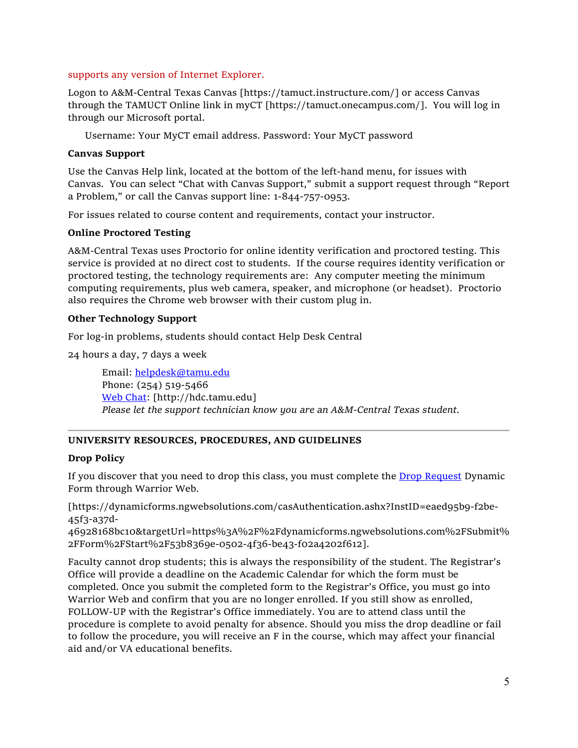#### supports any version of Internet Explorer.

Logon to A&M-Central Texas Canvas [https://tamuct.instructure.com/] or access Canvas through the TAMUCT Online link in myCT [https://tamuct.onecampus.com/]. You will log in through our Microsoft portal.

Username: Your MyCT email address. Password: Your MyCT password

### **Canvas Support**

Use the Canvas Help link, located at the bottom of the left-hand menu, for issues with Canvas. You can select "Chat with Canvas Support," submit a support request through "Report a Problem," or call the Canvas support line: 1-844-757-0953.

For issues related to course content and requirements, contact your instructor.

#### **Online Proctored Testing**

A&M-Central Texas uses Proctorio for online identity verification and proctored testing. This service is provided at no direct cost to students. If the course requires identity verification or proctored testing, the technology requirements are: Any computer meeting the minimum computing requirements, plus web camera, speaker, and microphone (or headset). Proctorio also requires the Chrome web browser with their custom plug in.

# **Other Technology Support**

For log-in problems, students should contact Help Desk Central

24 hours a day, 7 days a week

Email: [helpdesk@tamu.edu](mailto:helpdesk@tamu.edu) Phone: (254) 519-5466 [Web Chat:](http://hdc.tamu.edu/) [http://hdc.tamu.edu] *Please let the support technician know you are an A&M-Central Texas student.*

# **UNIVERSITY RESOURCES, PROCEDURES, AND GUIDELINES**

# **Drop Policy**

If you discover that you need to drop this class, you must complete the **Drop Request** Dynamic Form through Warrior Web.

[https://dynamicforms.ngwebsolutions.com/casAuthentication.ashx?InstID=eaed95b9-f2be-45f3-a37d-

46928168bc10&targetUrl=https%3A%2F%2Fdynamicforms.ngwebsolutions.com%2FSubmit% 2FForm%2FStart%2F53b8369e-0502-4f36-be43-f02a4202f612].

Faculty cannot drop students; this is always the responsibility of the student. The Registrar's Office will provide a deadline on the Academic Calendar for which the form must be completed. Once you submit the completed form to the Registrar's Office, you must go into Warrior Web and confirm that you are no longer enrolled. If you still show as enrolled, FOLLOW-UP with the Registrar's Office immediately. You are to attend class until the procedure is complete to avoid penalty for absence. Should you miss the drop deadline or fail to follow the procedure, you will receive an F in the course, which may affect your financial aid and/or VA educational benefits.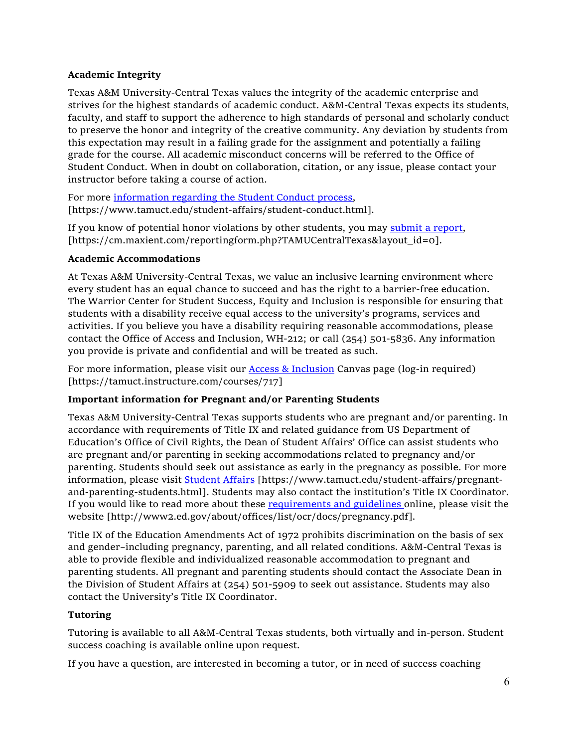# **Academic Integrity**

Texas A&M University-Central Texas values the integrity of the academic enterprise and strives for the highest standards of academic conduct. A&M-Central Texas expects its students, faculty, and staff to support the adherence to high standards of personal and scholarly conduct to preserve the honor and integrity of the creative community. Any deviation by students from this expectation may result in a failing grade for the assignment and potentially a failing grade for the course. All academic misconduct concerns will be referred to the Office of Student Conduct. When in doubt on collaboration, citation, or any issue, please contact your instructor before taking a course of action.

For more [information](https://nam04.safelinks.protection.outlook.com/?url=https%3A%2F%2Fwww.tamuct.edu%2Fstudent-affairs%2Fstudent-conduct.html&data=04%7C01%7Clisa.bunkowski%40tamuct.edu%7Ccfb6e486f24745f53e1a08d910055cb2%7C9eed4e3000f744849ff193ad8005acec%7C0%7C0%7C637558437485252160%7CUnknown%7CTWFpbGZsb3d8eyJWIjoiMC4wLjAwMDAiLCJQIjoiV2luMzIiLCJBTiI6Ik1haWwiLCJXVCI6Mn0%3D%7C1000&sdata=yjftDEVHvLX%2FhM%2FcFU0B99krV1RgEWR%2BJ%2BhvtoR6TYk%3D&reserved=0) regarding the Student Conduct process, [https://www.tamuct.edu/student-affairs/student-conduct.html].

If you know of potential honor violations by other students, you may [submit](https://nam04.safelinks.protection.outlook.com/?url=https%3A%2F%2Fcm.maxient.com%2Freportingform.php%3FTAMUCentralTexas%26layout_id%3D0&data=04%7C01%7Clisa.bunkowski%40tamuct.edu%7Ccfb6e486f24745f53e1a08d910055cb2%7C9eed4e3000f744849ff193ad8005acec%7C0%7C0%7C637558437485262157%7CUnknown%7CTWFpbGZsb3d8eyJWIjoiMC4wLjAwMDAiLCJQIjoiV2luMzIiLCJBTiI6Ik1haWwiLCJXVCI6Mn0%3D%7C1000&sdata=CXGkOa6uPDPX1IMZ87z3aZDq2n91xfHKu4MMS43Ejjk%3D&reserved=0) a report, [https://cm.maxient.com/reportingform.php?TAMUCentralTexas&layout\_id=0].

# **Academic Accommodations**

At Texas A&M University-Central Texas, we value an inclusive learning environment where every student has an equal chance to succeed and has the right to a barrier-free education. The Warrior Center for Student Success, Equity and Inclusion is responsible for ensuring that students with a disability receive equal access to the university's programs, services and activities. If you believe you have a disability requiring reasonable accommodations, please contact the Office of Access and Inclusion, WH-212; or call (254) 501-5836. Any information you provide is private and confidential and will be treated as such.

For more information, please visit our **Access & Inclusion** Canvas page (log-in required) [https://tamuct.instructure.com/courses/717]

# **Important information for Pregnant and/or Parenting Students**

Texas A&M University-Central Texas supports students who are pregnant and/or parenting. In accordance with requirements of Title IX and related guidance from US Department of Education's Office of Civil Rights, the Dean of Student Affairs' Office can assist students who are pregnant and/or parenting in seeking accommodations related to pregnancy and/or parenting. Students should seek out assistance as early in the pregnancy as possible. For more information, please visit [Student Affairs](https://www.tamuct.edu/student-affairs/pregnant-and-parenting-students.html) [https://www.tamuct.edu/student-affairs/pregnantand-parenting-students.html]. Students may also contact the institution's Title IX Coordinator. If you would like to read more about these [requirements and guidelines](http://www2.ed.gov/about/offices/list/ocr/docs/pregnancy.pdf) online, please visit the website [http://www2.ed.gov/about/offices/list/ocr/docs/pregnancy.pdf].

Title IX of the Education Amendments Act of 1972 prohibits discrimination on the basis of sex and gender–including pregnancy, parenting, and all related conditions. A&M-Central Texas is able to provide flexible and individualized reasonable accommodation to pregnant and parenting students. All pregnant and parenting students should contact the Associate Dean in the Division of Student Affairs at (254) 501-5909 to seek out assistance. Students may also contact the University's Title IX Coordinator.

# **Tutoring**

Tutoring is available to all A&M-Central Texas students, both virtually and in-person. Student success coaching is available online upon request.

If you have a question, are interested in becoming a tutor, or in need of success coaching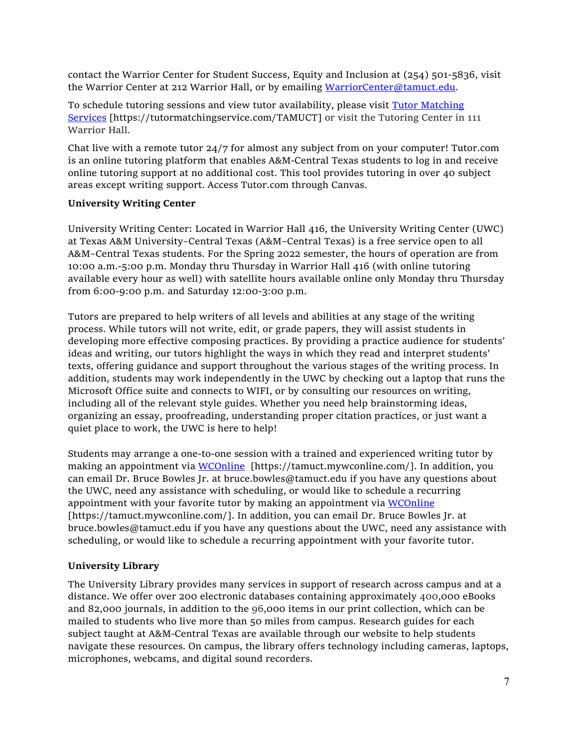contact the Warrior Center for Student Success, Equity and Inclusion at (254) 501-5836, visit the Warrior Center at 212 Warrior Hall, or by emailing [WarriorCenter@tamuct.edu.](mailto:WarriorCenter@tamuct.edu)

To schedule tutoring sessions and view tutor availability, please visit Tutor [Matching](https://nam04.safelinks.protection.outlook.com/?url=http%3A%2F%2Fwww.tutormatchingservices.com%2FTAMUCT&data=04%7C01%7Clisa.bunkowski%40tamuct.edu%7C886784139069461670c308d9aa01f55e%7C9eed4e3000f744849ff193ad8005acec%7C0%7C0%7C637727747643427346%7CUnknown%7CTWFpbGZsb3d8eyJWIjoiMC4wLjAwMDAiLCJQIjoiV2luMzIiLCJBTiI6Ik1haWwiLCJXVCI6Mn0%3D%7C3000&sdata=D%2F8HN2bUT1lLPfs5qSqKYlwh8a7pZVy7isM2gppluQE%3D&reserved=0) [Services](https://nam04.safelinks.protection.outlook.com/?url=http%3A%2F%2Fwww.tutormatchingservices.com%2FTAMUCT&data=04%7C01%7Clisa.bunkowski%40tamuct.edu%7C886784139069461670c308d9aa01f55e%7C9eed4e3000f744849ff193ad8005acec%7C0%7C0%7C637727747643427346%7CUnknown%7CTWFpbGZsb3d8eyJWIjoiMC4wLjAwMDAiLCJQIjoiV2luMzIiLCJBTiI6Ik1haWwiLCJXVCI6Mn0%3D%7C3000&sdata=D%2F8HN2bUT1lLPfs5qSqKYlwh8a7pZVy7isM2gppluQE%3D&reserved=0) [https://tutormatchingservice.com/TAMUCT] or visit the Tutoring Center in 111 Warrior Hall.

Chat live with a remote tutor 24/7 for almost any subject from on your computer! Tutor.com is an online tutoring platform that enables A&M-Central Texas students to log in and receive online tutoring support at no additional cost. This tool provides tutoring in over 40 subject areas except writing support. Access Tutor.com through Canvas.

# **University Writing Center**

University Writing Center: Located in Warrior Hall 416, the University Writing Center (UWC) at Texas A&M University–Central Texas (A&M–Central Texas) is a free service open to all A&M–Central Texas students. For the Spring 2022 semester, the hours of operation are from 10:00 a.m.-5:00 p.m. Monday thru Thursday in Warrior Hall 416 (with online tutoring available every hour as well) with satellite hours available online only Monday thru Thursday from 6:00-9:00 p.m. and Saturday 12:00-3:00 p.m.

Tutors are prepared to help writers of all levels and abilities at any stage of the writing process. While tutors will not write, edit, or grade papers, they will assist students in developing more effective composing practices. By providing a practice audience for students' ideas and writing, our tutors highlight the ways in which they read and interpret students' texts, offering guidance and support throughout the various stages of the writing process. In addition, students may work independently in the UWC by checking out a laptop that runs the Microsoft Office suite and connects to WIFI, or by consulting our resources on writing, including all of the relevant style guides. Whether you need help brainstorming ideas, organizing an essay, proofreading, understanding proper citation practices, or just want a quiet place to work, the UWC is here to help!

Students may arrange a one-to-one session with a trained and experienced writing tutor by making an appointment via [WCOnline](https://tamuct.mywconline.com/) [https://tamuct.mywconline.com/]. In addition, you can email Dr. Bruce Bowles Jr. at bruce.bowles@tamuct.edu if you have any questions about the UWC, need any assistance with scheduling, or would like to schedule a recurring appointment with your favorite tutor by making an appointment via [WCOnline](https://tamuct.mywconline.com/) [https://tamuct.mywconline.com/]. In addition, you can email Dr. Bruce Bowles Jr. at bruce.bowles@tamuct.edu if you have any questions about the UWC, need any assistance with scheduling, or would like to schedule a recurring appointment with your favorite tutor.

# **University Library**

The University Library provides many services in support of research across campus and at a distance. We offer over 200 electronic databases containing approximately 400,000 eBooks and 82,000 journals, in addition to the 96,000 items in our print collection, which can be mailed to students who live more than 50 miles from campus. Research guides for each subject taught at A&M-Central Texas are available through our website to help students navigate these resources. On campus, the library offers technology including cameras, laptops, microphones, webcams, and digital sound recorders.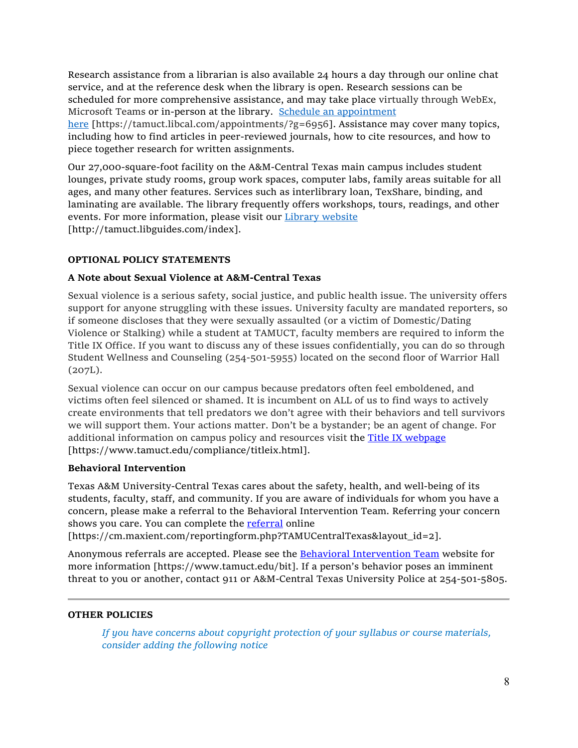Research assistance from a librarian is also available 24 hours a day through our online chat service, and at the reference desk when the library is open. Research sessions can be scheduled for more comprehensive assistance, and may take place virtually through WebEx, Microsoft Teams or in-person at the library. Schedule an [appointment](https://nam04.safelinks.protection.outlook.com/?url=https%3A%2F%2Ftamuct.libcal.com%2Fappointments%2F%3Fg%3D6956&data=04%7C01%7Clisa.bunkowski%40tamuct.edu%7Cde2c07d9f5804f09518008d9ab7ba6ff%7C9eed4e3000f744849ff193ad8005acec%7C0%7C0%7C637729369835011558%7CUnknown%7CTWFpbGZsb3d8eyJWIjoiMC4wLjAwMDAiLCJQIjoiV2luMzIiLCJBTiI6Ik1haWwiLCJXVCI6Mn0%3D%7C3000&sdata=KhtjgRSAw9aq%2FoBsB6wyu8b7PSuGN5EGPypzr3Ty2No%3D&reserved=0) [here](https://nam04.safelinks.protection.outlook.com/?url=https%3A%2F%2Ftamuct.libcal.com%2Fappointments%2F%3Fg%3D6956&data=04%7C01%7Clisa.bunkowski%40tamuct.edu%7Cde2c07d9f5804f09518008d9ab7ba6ff%7C9eed4e3000f744849ff193ad8005acec%7C0%7C0%7C637729369835011558%7CUnknown%7CTWFpbGZsb3d8eyJWIjoiMC4wLjAwMDAiLCJQIjoiV2luMzIiLCJBTiI6Ik1haWwiLCJXVCI6Mn0%3D%7C3000&sdata=KhtjgRSAw9aq%2FoBsB6wyu8b7PSuGN5EGPypzr3Ty2No%3D&reserved=0) [https://tamuct.libcal.com/appointments/?g=6956]. Assistance may cover many topics, including how to find articles in peer-reviewed journals, how to cite resources, and how to piece together research for written assignments.

Our 27,000-square-foot facility on the A&M-Central Texas main campus includes student lounges, private study rooms, group work spaces, computer labs, family areas suitable for all ages, and many other features. Services such as interlibrary loan, TexShare, binding, and laminating are available. The library frequently offers workshops, tours, readings, and other events. For more information, please visit our Library [website](https://nam04.safelinks.protection.outlook.com/?url=https%3A%2F%2Ftamuct.libguides.com%2Findex&data=04%7C01%7Clisa.bunkowski%40tamuct.edu%7C7d8489e8839a4915335f08d916f067f2%7C9eed4e3000f744849ff193ad8005acec%7C0%7C0%7C637566044056484222%7CUnknown%7CTWFpbGZsb3d8eyJWIjoiMC4wLjAwMDAiLCJQIjoiV2luMzIiLCJBTiI6Ik1haWwiLCJXVCI6Mn0%3D%7C1000&sdata=2R755V6rcIyedGrd4Os5rkgn1PvhHKU3kUV1vBKiHFo%3D&reserved=0) [http://tamuct.libguides.com/index].

# **OPTIONAL POLICY STATEMENTS**

# **A Note about Sexual Violence at A&M-Central Texas**

Sexual violence is a serious safety, social justice, and public health issue. The university offers support for anyone struggling with these issues. University faculty are mandated reporters, so if someone discloses that they were sexually assaulted (or a victim of Domestic/Dating Violence or Stalking) while a student at TAMUCT, faculty members are required to inform the Title IX Office. If you want to discuss any of these issues confidentially, you can do so through Student Wellness and Counseling (254-501-5955) located on the second floor of Warrior Hall (207L).

Sexual violence can occur on our campus because predators often feel emboldened, and victims often feel silenced or shamed. It is incumbent on ALL of us to find ways to actively create environments that tell predators we don't agree with their behaviors and tell survivors we will support them. Your actions matter. Don't be a bystander; be an agent of change. For additional information on campus policy and resources visit the [Title IX webpage](https://www.tamuct.edu/compliance/titleix.html) [\[https://www.tamuct.edu/compliance/titleix.html\]](https://www.tamuct.edu/compliance/titleix.html).

#### **Behavioral Intervention**

Texas A&M University-Central Texas cares about the safety, health, and well-being of its students, faculty, staff, and community. If you are aware of individuals for whom you have a concern, please make a referral to the Behavioral Intervention Team. Referring your concern shows you care. You can complete the [referral](https://cm.maxient.com/reportingform.php?TAMUCentralTexas&layout_id=2) online

[https://cm.maxient.com/reportingform.php?TAMUCentralTexas&layout\_id=2].

Anonymous referrals are accepted. Please see the [Behavioral Intervention Team](https://www.tamuct.edu/bit) website for more information [https://www.tamuct.edu/bit]. If a person's behavior poses an imminent threat to you or another, contact 911 or A&M-Central Texas University Police at 254-501-5805.

#### **OTHER POLICIES**

*If you have concerns about copyright protection of your syllabus or course materials, consider adding the following notice*